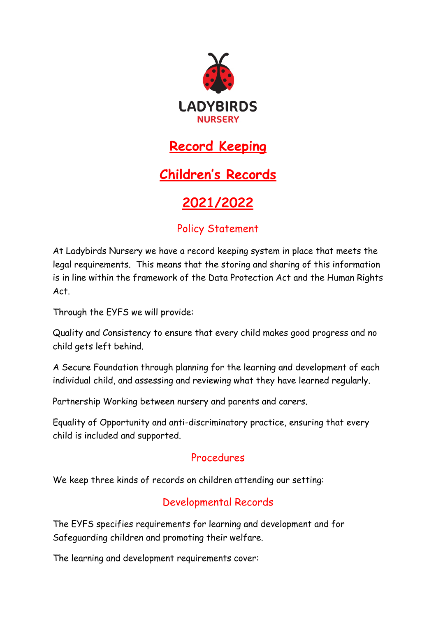

## **Record Keeping**

# **Children's Records**

# **2021/2022**

## Policy Statement

At Ladybirds Nursery we have a record keeping system in place that meets the legal requirements. This means that the storing and sharing of this information is in line within the framework of the Data Protection Act and the Human Rights Act.

Through the EYFS we will provide:

Quality and Consistency to ensure that every child makes good progress and no child gets left behind.

A Secure Foundation through planning for the learning and development of each individual child, and assessing and reviewing what they have learned regularly.

Partnership Working between nursery and parents and carers.

Equality of Opportunity and anti-discriminatory practice, ensuring that every child is included and supported.

#### Procedures

We keep three kinds of records on children attending our setting:

## Developmental Records

The EYFS specifies requirements for learning and development and for Safeguarding children and promoting their welfare.

The learning and development requirements cover: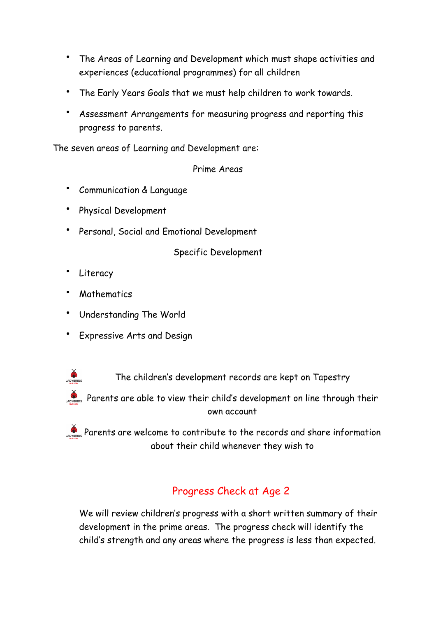- The Areas of Learning and Development which must shape activities and experiences (educational programmes) for all children
- The Early Years Goals that we must help children to work towards.
- Assessment Arrangements for measuring progress and reporting this progress to parents.

The seven areas of Learning and Development are:

Prime Areas

- Communication & Language
- Physical Development
- Personal, Social and Emotional Development

Specific Development

Literacy

LADYBIRDS

- **Mathematics**
- Understanding The World
- Expressive Arts and Design

The children's development records are kept on Tapestry

Parents are able to view their child's development on line through their own account

Parents are welcome to contribute to the records and share information about their child whenever they wish to

## Progress Check at Age 2

We will review children's progress with a short written summary of their development in the prime areas. The progress check will identify the child's strength and any areas where the progress is less than expected.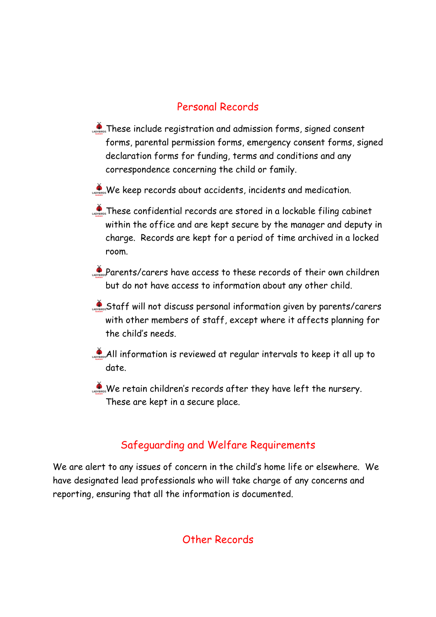#### Personal Records

- These include registration and admission forms, signed consent forms, parental permission forms, emergency consent forms, signed declaration forms for funding, terms and conditions and any correspondence concerning the child or family.
- We keep records about accidents, incidents and medication.
- These confidential records are stored in a lockable filing cabinet within the office and are kept secure by the manager and deputy in charge. Records are kept for a period of time archived in a locked room.
- Parents/carers have access to these records of their own children but do not have access to information about any other child.
- Staff will not discuss personal information given by parents/carers with other members of staff, except where it affects planning for the child's needs.
- All information is reviewed at regular intervals to keep it all up to date.
- $\sum_{n=1}^{\infty}$  We retain children's records after they have left the nursery. These are kept in a secure place.

#### Safeguarding and Welfare Requirements

We are alert to any issues of concern in the child's home life or elsewhere. We have designated lead professionals who will take charge of any concerns and reporting, ensuring that all the information is documented.

#### Other Records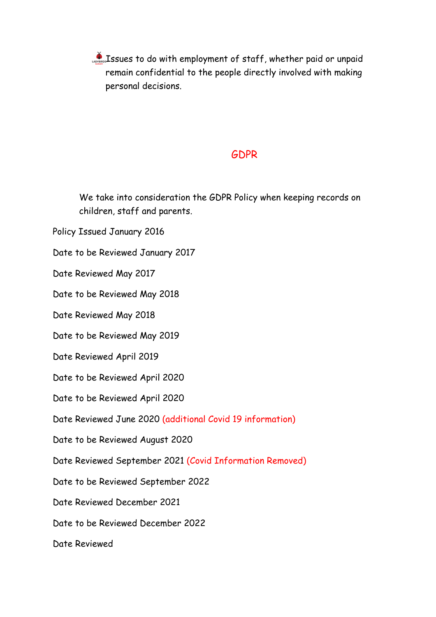Issues to do with employment of staff, whether paid or unpaid remain confidential to the people directly involved with making personal decisions.

#### GDPR

We take into consideration the GDPR Policy when keeping records on children, staff and parents.

Policy Issued January 2016

Date to be Reviewed January 2017

Date Reviewed May 2017

Date to be Reviewed May 2018

Date Reviewed May 2018

Date to be Reviewed May 2019

Date Reviewed April 2019

Date to be Reviewed April 2020

Date to be Reviewed April 2020

Date Reviewed June 2020 (additional Covid 19 information)

Date to be Reviewed August 2020

Date Reviewed September 2021 (Covid Information Removed)

Date to be Reviewed September 2022

Date Reviewed December 2021

Date to be Reviewed December 2022

Date Reviewed